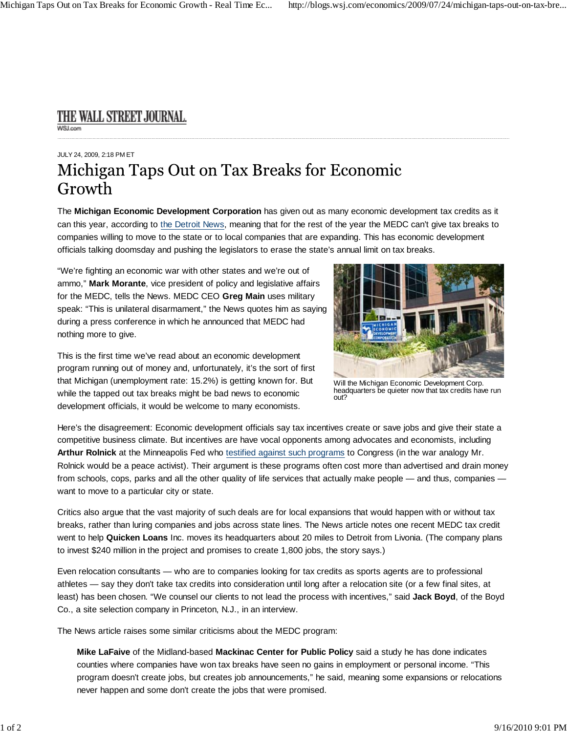## THE WALL STREET JOURNAL. WSLcom

## JULY 24, 2009, 2:18 PM ET Michigan Taps Out on Tax Breaks for Economic Growth

The **Michigan Economic Development Corporation** has given out as many economic development tax credits as it can this year, according to the Detroit News, meaning that for the rest of the year the MEDC can't give tax breaks to companies willing to move to the state or to local companies that are expanding. This has economic development officials talking doomsday and pushing the legislators to erase the state's annual limit on tax breaks.

"We're fighting an economic war with other states and we're out of ammo," **Mark Morante**, vice president of policy and legislative affairs for the MEDC, tells the News. MEDC CEO **Greg Main** uses military speak: "This is unilateral disarmament," the News quotes him as saying during a press conference in which he announced that MEDC had nothing more to give.

This is the first time we've read about an economic development program running out of money and, unfortunately, it's the sort of first that Michigan (unemployment rate: 15.2%) is getting known for. But while the tapped out tax breaks might be bad news to economic development officials, it would be welcome to many economists.



Will the Michigan Economic Development Corp. headquarters be quieter now that tax credits have run out?

Here's the disagreement: Economic development officials say tax incentives create or save jobs and give their state a competitive business climate. But incentives are have vocal opponents among advocates and economists, including **Arthur Rolnick** at the Minneapolis Fed who testified against such programs to Congress (in the war analogy Mr. Rolnick would be a peace activist). Their argument is these programs often cost more than advertised and drain money from schools, cops, parks and all the other quality of life services that actually make people — and thus, companies want to move to a particular city or state.

Critics also argue that the vast majority of such deals are for local expansions that would happen with or without tax breaks, rather than luring companies and jobs across state lines. The News article notes one recent MEDC tax credit went to help **Quicken Loans** Inc. moves its headquarters about 20 miles to Detroit from Livonia. (The company plans to invest \$240 million in the project and promises to create 1,800 jobs, the story says.)

Even relocation consultants — who are to companies looking for tax credits as sports agents are to professional athletes — say they don't take tax credits into consideration until long after a relocation site (or a few final sites, at least) has been chosen. "We counsel our clients to not lead the process with incentives," said **Jack Boyd**, of the Boyd Co., a site selection company in Princeton, N.J., in an interview.

The News article raises some similar criticisms about the MEDC program:

**Mike LaFaive** of the Midland-based **Mackinac Center for Public Policy** said a study he has done indicates counties where companies have won tax breaks have seen no gains in employment or personal income. "This program doesn't create jobs, but creates job announcements," he said, meaning some expansions or relocations never happen and some don't create the jobs that were promised.